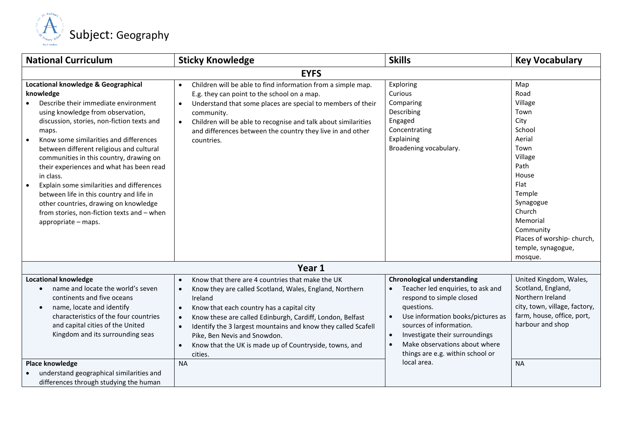

| <b>National Curriculum</b>                                                                                                                                                                                                                                                                                                                                                                                                                                                                                                                                                                                      | <b>Sticky Knowledge</b>                                                                                                                                                                                                                                                                                                                                                                                                                                                                           | <b>Skills</b>                                                                                                                                                                                                                                                                                                        | <b>Key Vocabulary</b>                                                                                                                                                                                                          |
|-----------------------------------------------------------------------------------------------------------------------------------------------------------------------------------------------------------------------------------------------------------------------------------------------------------------------------------------------------------------------------------------------------------------------------------------------------------------------------------------------------------------------------------------------------------------------------------------------------------------|---------------------------------------------------------------------------------------------------------------------------------------------------------------------------------------------------------------------------------------------------------------------------------------------------------------------------------------------------------------------------------------------------------------------------------------------------------------------------------------------------|----------------------------------------------------------------------------------------------------------------------------------------------------------------------------------------------------------------------------------------------------------------------------------------------------------------------|--------------------------------------------------------------------------------------------------------------------------------------------------------------------------------------------------------------------------------|
|                                                                                                                                                                                                                                                                                                                                                                                                                                                                                                                                                                                                                 | <b>EYFS</b>                                                                                                                                                                                                                                                                                                                                                                                                                                                                                       |                                                                                                                                                                                                                                                                                                                      |                                                                                                                                                                                                                                |
| Locational knowledge & Geographical<br>knowledge<br>Describe their immediate environment<br>using knowledge from observation,<br>discussion, stories, non-fiction texts and<br>maps.<br>Know some similarities and differences<br>$\bullet$<br>between different religious and cultural<br>communities in this country, drawing on<br>their experiences and what has been read<br>in class.<br>Explain some similarities and differences<br>$\bullet$<br>between life in this country and life in<br>other countries, drawing on knowledge<br>from stories, non-fiction texts and - when<br>appropriate - maps. | Children will be able to find information from a simple map.<br>$\bullet$<br>E.g. they can point to the school on a map.<br>Understand that some places are special to members of their<br>$\bullet$<br>community.<br>Children will be able to recognise and talk about similarities<br>$\bullet$<br>and differences between the country they live in and other<br>countries.                                                                                                                     | Exploring<br>Curious<br>Comparing<br>Describing<br>Engaged<br>Concentrating<br>Explaining<br>Broadening vocabulary.                                                                                                                                                                                                  | Map<br>Road<br>Village<br>Town<br>City<br>School<br>Aerial<br>Town<br>Village<br>Path<br>House<br>Flat<br>Temple<br>Synagogue<br>Church<br>Memorial<br>Community<br>Places of worship-church,<br>temple, synagogue,<br>mosque. |
|                                                                                                                                                                                                                                                                                                                                                                                                                                                                                                                                                                                                                 | Year 1                                                                                                                                                                                                                                                                                                                                                                                                                                                                                            |                                                                                                                                                                                                                                                                                                                      |                                                                                                                                                                                                                                |
| <b>Locational knowledge</b><br>name and locate the world's seven<br>continents and five oceans<br>name, locate and identify<br>$\bullet$<br>characteristics of the four countries<br>and capital cities of the United<br>Kingdom and its surrounding seas<br><b>Place knowledge</b><br>understand geographical similarities and<br>differences through studying the human                                                                                                                                                                                                                                       | Know that there are 4 countries that make the UK<br>$\bullet$<br>Know they are called Scotland, Wales, England, Northern<br>$\bullet$<br>Ireland<br>Know that each country has a capital city<br>$\bullet$<br>Know these are called Edinburgh, Cardiff, London, Belfast<br>$\bullet$<br>Identify the 3 largest mountains and know they called Scafell<br>$\bullet$<br>Pike, Ben Nevis and Snowdon.<br>Know that the UK is made up of Countryside, towns, and<br>$\bullet$<br>cities.<br><b>NA</b> | <b>Chronological understanding</b><br>Teacher led enquiries, to ask and<br>respond to simple closed<br>questions.<br>Use information books/pictures as<br>sources of information.<br>Investigate their surroundings<br>$\bullet$<br>Make observations about where<br>things are e.g. within school or<br>local area. | United Kingdom, Wales,<br>Scotland, England,<br>Northern Ireland<br>city, town, village, factory,<br>farm, house, office, port,<br>harbour and shop<br><b>NA</b>                                                               |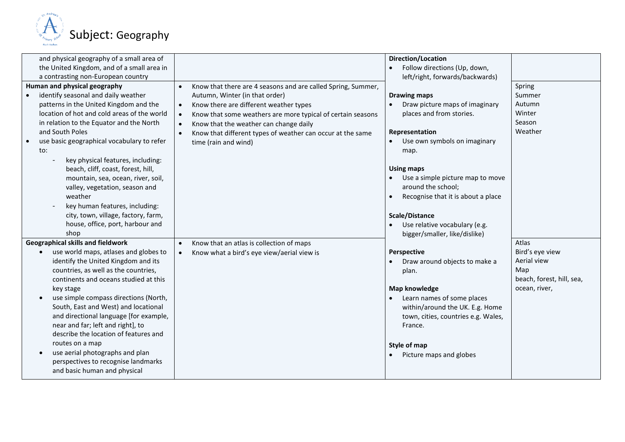

| and physical geography of a small area of<br>the United Kingdom, and of a small area in<br>a contrasting non-European country<br>Human and physical geography<br>Know that there are 4 seasons and are called Spring, Summer,<br>$\bullet$<br>identify seasonal and daily weather<br>Autumn, Winter (in that order)<br>patterns in the United Kingdom and the<br>Know there are different weather types<br>$\bullet$<br>location of hot and cold areas of the world<br>Know that some weathers are more typical of certain seasons<br>$\bullet$<br>in relation to the Equator and the North<br>Know that the weather can change daily<br>$\bullet$<br>and South Poles<br>Know that different types of weather can occur at the same<br>$\bullet$<br>use basic geographical vocabulary to refer<br>$\bullet$<br>time (rain and wind)<br>to:<br>key physical features, including:<br>beach, cliff, coast, forest, hill,<br>mountain, sea, ocean, river, soil,<br>valley, vegetation, season and<br>weather<br>key human features, including:<br>city, town, village, factory, farm,<br>house, office, port, harbour and<br>shop<br><b>Geographical skills and fieldwork</b><br>Know that an atlas is collection of maps<br>$\bullet$<br>use world maps, atlases and globes to<br>Know what a bird's eye view/aerial view is<br>$\bullet$<br>$\bullet$<br>identify the United Kingdom and its<br>countries, as well as the countries,<br>continents and oceans studied at this<br>key stage<br>use simple compass directions (North,<br>$\bullet$<br>South, East and West) and locational<br>and directional language [for example,<br>near and far; left and right], to<br>describe the location of features and<br>routes on a map<br>use aerial photographs and plan<br>$\bullet$<br>perspectives to recognise landmarks<br>and basic human and physical | Direction/Location<br>Follow directions (Up, down,<br>left/right, forwards/backwards)<br><b>Drawing maps</b><br>Draw picture maps of imaginary<br>places and from stories.<br>Representation<br>Use own symbols on imaginary<br>map.<br><b>Using maps</b><br>Use a simple picture map to move<br>around the school;<br>Recognise that it is about a place<br>Scale/Distance<br>Use relative vocabulary (e.g.<br>bigger/smaller, like/dislike)<br>Perspective<br>Draw around objects to make a<br>plan.<br><b>Map knowledge</b><br>Learn names of some places<br>within/around the UK. E.g. Home<br>town, cities, countries e.g. Wales,<br>France.<br>Style of map<br>Picture maps and globes | Spring<br>Summer<br>Autumn<br>Winter<br>Season<br>Weather<br>Atlas<br>Bird's eye view<br>Aerial view<br>Map<br>beach, forest, hill, sea,<br>ocean, river, |
|----------------------------------------------------------------------------------------------------------------------------------------------------------------------------------------------------------------------------------------------------------------------------------------------------------------------------------------------------------------------------------------------------------------------------------------------------------------------------------------------------------------------------------------------------------------------------------------------------------------------------------------------------------------------------------------------------------------------------------------------------------------------------------------------------------------------------------------------------------------------------------------------------------------------------------------------------------------------------------------------------------------------------------------------------------------------------------------------------------------------------------------------------------------------------------------------------------------------------------------------------------------------------------------------------------------------------------------------------------------------------------------------------------------------------------------------------------------------------------------------------------------------------------------------------------------------------------------------------------------------------------------------------------------------------------------------------------------------------------------------------------------------------------------------------------------------------------------------------------|----------------------------------------------------------------------------------------------------------------------------------------------------------------------------------------------------------------------------------------------------------------------------------------------------------------------------------------------------------------------------------------------------------------------------------------------------------------------------------------------------------------------------------------------------------------------------------------------------------------------------------------------------------------------------------------------|-----------------------------------------------------------------------------------------------------------------------------------------------------------|
|----------------------------------------------------------------------------------------------------------------------------------------------------------------------------------------------------------------------------------------------------------------------------------------------------------------------------------------------------------------------------------------------------------------------------------------------------------------------------------------------------------------------------------------------------------------------------------------------------------------------------------------------------------------------------------------------------------------------------------------------------------------------------------------------------------------------------------------------------------------------------------------------------------------------------------------------------------------------------------------------------------------------------------------------------------------------------------------------------------------------------------------------------------------------------------------------------------------------------------------------------------------------------------------------------------------------------------------------------------------------------------------------------------------------------------------------------------------------------------------------------------------------------------------------------------------------------------------------------------------------------------------------------------------------------------------------------------------------------------------------------------------------------------------------------------------------------------------------------------|----------------------------------------------------------------------------------------------------------------------------------------------------------------------------------------------------------------------------------------------------------------------------------------------------------------------------------------------------------------------------------------------------------------------------------------------------------------------------------------------------------------------------------------------------------------------------------------------------------------------------------------------------------------------------------------------|-----------------------------------------------------------------------------------------------------------------------------------------------------------|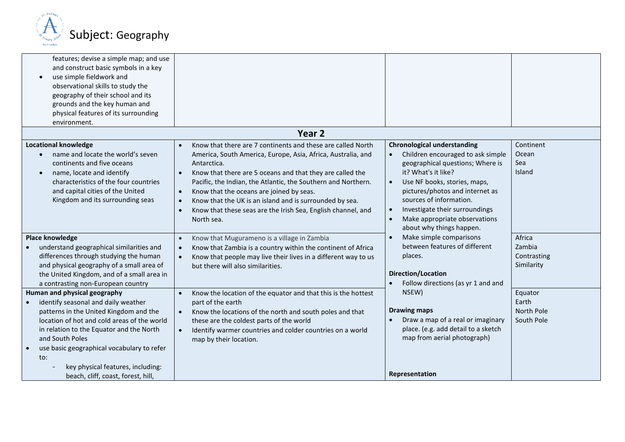

| features; devise a simple map; and use<br>and construct basic symbols in a key<br>use simple fieldwork and<br>observational skills to study the<br>geography of their school and its<br>grounds and the key human and<br>physical features of its surrounding<br>environment.                                                                                            |                                                                                                                                                                                                                                                                                                                                                                                                                                                                                                                                |                                                                                                                                                                                                                                                                                                                                 |                                               |
|--------------------------------------------------------------------------------------------------------------------------------------------------------------------------------------------------------------------------------------------------------------------------------------------------------------------------------------------------------------------------|--------------------------------------------------------------------------------------------------------------------------------------------------------------------------------------------------------------------------------------------------------------------------------------------------------------------------------------------------------------------------------------------------------------------------------------------------------------------------------------------------------------------------------|---------------------------------------------------------------------------------------------------------------------------------------------------------------------------------------------------------------------------------------------------------------------------------------------------------------------------------|-----------------------------------------------|
|                                                                                                                                                                                                                                                                                                                                                                          | Year <sub>2</sub>                                                                                                                                                                                                                                                                                                                                                                                                                                                                                                              |                                                                                                                                                                                                                                                                                                                                 |                                               |
| <b>Locational knowledge</b><br>name and locate the world's seven<br>$\bullet$<br>continents and five oceans<br>name, locate and identify<br>$\bullet$<br>characteristics of the four countries<br>and capital cities of the United<br>Kingdom and its surrounding seas                                                                                                   | Know that there are 7 continents and these are called North<br>$\bullet$<br>America, South America, Europe, Asia, Africa, Australia, and<br>Antarctica.<br>Know that there are 5 oceans and that they are called the<br>$\bullet$<br>Pacific, the Indian, the Atlantic, the Southern and Northern.<br>Know that the oceans are joined by seas.<br>$\bullet$<br>Know that the UK is an island and is surrounded by sea.<br>$\bullet$<br>Know that these seas are the Irish Sea, English channel, and<br>$\bullet$<br>North sea. | <b>Chronological understanding</b><br>Children encouraged to ask simple<br>geographical questions; Where is<br>it? What's it like?<br>Use NF books, stories, maps,<br>pictures/photos and internet as<br>sources of information.<br>Investigate their surroundings<br>Make appropriate observations<br>about why things happen. | Continent<br>Ocean<br>Sea<br>Island           |
| Place knowledge<br>understand geographical similarities and<br>$\bullet$<br>differences through studying the human<br>and physical geography of a small area of<br>the United Kingdom, and of a small area in<br>a contrasting non-European country                                                                                                                      | Know that Mugurameno is a village in Zambia<br>$\bullet$<br>Know that Zambia is a country within the continent of Africa<br>$\bullet$<br>Know that people may live their lives in a different way to us<br>$\bullet$<br>but there will also similarities.                                                                                                                                                                                                                                                                      | Make simple comparisons<br>between features of different<br>places.<br>Direction/Location<br>Follow directions (as yr 1 and and                                                                                                                                                                                                 | Africa<br>Zambia<br>Contrasting<br>Similarity |
| Human and physical geography<br>identify seasonal and daily weather<br>patterns in the United Kingdom and the<br>location of hot and cold areas of the world<br>in relation to the Equator and the North<br>and South Poles<br>use basic geographical vocabulary to refer<br>$\bullet$<br>to:<br>key physical features, including:<br>beach, cliff, coast, forest, hill, | Know the location of the equator and that this is the hottest<br>$\bullet$<br>part of the earth<br>Know the locations of the north and south poles and that<br>$\bullet$<br>these are the coldest parts of the world<br>Identify warmer countries and colder countries on a world<br>$\bullet$<br>map by their location.                                                                                                                                                                                                       | NSEW)<br><b>Drawing maps</b><br>Draw a map of a real or imaginary<br>place. (e.g. add detail to a sketch<br>map from aerial photograph)<br>Representation                                                                                                                                                                       | Equator<br>Earth<br>North Pole<br>South Pole  |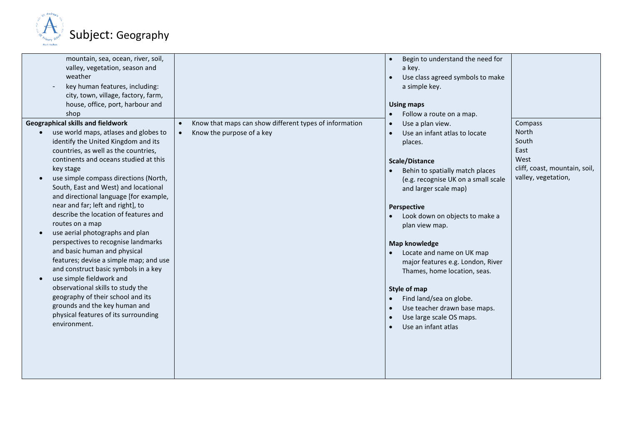

| mountain, sea, ocean, river, soil,<br>valley, vegetation, season and<br>weather<br>key human features, including:<br>city, town, village, factory, farm,<br>house, office, port, harbour and<br>shop<br><b>Geographical skills and fieldwork</b><br>use world maps, atlases and globes to<br>identify the United Kingdom and its<br>countries, as well as the countries,<br>continents and oceans studied at this<br>key stage<br>use simple compass directions (North,<br>South, East and West) and locational<br>and directional language [for example,<br>near and far; left and right], to<br>describe the location of features and<br>routes on a map<br>use aerial photographs and plan<br>perspectives to recognise landmarks | Know that maps can show different types of information<br>Know the purpose of a key<br>$\bullet$ | Begin to understand the need for<br>a key.<br>Use class agreed symbols to make<br>$\bullet$<br>a simple key.<br><b>Using maps</b><br>Follow a route on a map.<br>Use a plan view.<br>$\bullet$<br>Use an infant atlas to locate<br>$\bullet$<br>places.<br>Scale/Distance<br>Behin to spatially match places<br>(e.g. recognise UK on a small scale<br>and larger scale map)<br>Perspective<br>Look down on objects to make a<br>plan view map.<br><b>Map knowledge</b> | Compass<br>North<br>South<br>East<br>West<br>cliff, coast, mountain, soil,<br>valley, vegetation, |
|--------------------------------------------------------------------------------------------------------------------------------------------------------------------------------------------------------------------------------------------------------------------------------------------------------------------------------------------------------------------------------------------------------------------------------------------------------------------------------------------------------------------------------------------------------------------------------------------------------------------------------------------------------------------------------------------------------------------------------------|--------------------------------------------------------------------------------------------------|-------------------------------------------------------------------------------------------------------------------------------------------------------------------------------------------------------------------------------------------------------------------------------------------------------------------------------------------------------------------------------------------------------------------------------------------------------------------------|---------------------------------------------------------------------------------------------------|
|                                                                                                                                                                                                                                                                                                                                                                                                                                                                                                                                                                                                                                                                                                                                      |                                                                                                  |                                                                                                                                                                                                                                                                                                                                                                                                                                                                         |                                                                                                   |
|                                                                                                                                                                                                                                                                                                                                                                                                                                                                                                                                                                                                                                                                                                                                      |                                                                                                  |                                                                                                                                                                                                                                                                                                                                                                                                                                                                         |                                                                                                   |
|                                                                                                                                                                                                                                                                                                                                                                                                                                                                                                                                                                                                                                                                                                                                      |                                                                                                  |                                                                                                                                                                                                                                                                                                                                                                                                                                                                         |                                                                                                   |
|                                                                                                                                                                                                                                                                                                                                                                                                                                                                                                                                                                                                                                                                                                                                      |                                                                                                  |                                                                                                                                                                                                                                                                                                                                                                                                                                                                         |                                                                                                   |
|                                                                                                                                                                                                                                                                                                                                                                                                                                                                                                                                                                                                                                                                                                                                      |                                                                                                  |                                                                                                                                                                                                                                                                                                                                                                                                                                                                         |                                                                                                   |
|                                                                                                                                                                                                                                                                                                                                                                                                                                                                                                                                                                                                                                                                                                                                      |                                                                                                  |                                                                                                                                                                                                                                                                                                                                                                                                                                                                         |                                                                                                   |
|                                                                                                                                                                                                                                                                                                                                                                                                                                                                                                                                                                                                                                                                                                                                      |                                                                                                  |                                                                                                                                                                                                                                                                                                                                                                                                                                                                         |                                                                                                   |
|                                                                                                                                                                                                                                                                                                                                                                                                                                                                                                                                                                                                                                                                                                                                      |                                                                                                  |                                                                                                                                                                                                                                                                                                                                                                                                                                                                         |                                                                                                   |
|                                                                                                                                                                                                                                                                                                                                                                                                                                                                                                                                                                                                                                                                                                                                      |                                                                                                  |                                                                                                                                                                                                                                                                                                                                                                                                                                                                         |                                                                                                   |
|                                                                                                                                                                                                                                                                                                                                                                                                                                                                                                                                                                                                                                                                                                                                      |                                                                                                  |                                                                                                                                                                                                                                                                                                                                                                                                                                                                         |                                                                                                   |
|                                                                                                                                                                                                                                                                                                                                                                                                                                                                                                                                                                                                                                                                                                                                      |                                                                                                  |                                                                                                                                                                                                                                                                                                                                                                                                                                                                         |                                                                                                   |
|                                                                                                                                                                                                                                                                                                                                                                                                                                                                                                                                                                                                                                                                                                                                      |                                                                                                  |                                                                                                                                                                                                                                                                                                                                                                                                                                                                         |                                                                                                   |
|                                                                                                                                                                                                                                                                                                                                                                                                                                                                                                                                                                                                                                                                                                                                      |                                                                                                  |                                                                                                                                                                                                                                                                                                                                                                                                                                                                         |                                                                                                   |
|                                                                                                                                                                                                                                                                                                                                                                                                                                                                                                                                                                                                                                                                                                                                      |                                                                                                  |                                                                                                                                                                                                                                                                                                                                                                                                                                                                         |                                                                                                   |
|                                                                                                                                                                                                                                                                                                                                                                                                                                                                                                                                                                                                                                                                                                                                      |                                                                                                  |                                                                                                                                                                                                                                                                                                                                                                                                                                                                         |                                                                                                   |
| and basic human and physical                                                                                                                                                                                                                                                                                                                                                                                                                                                                                                                                                                                                                                                                                                         |                                                                                                  | Locate and name on UK map<br>$\bullet$                                                                                                                                                                                                                                                                                                                                                                                                                                  |                                                                                                   |
| features; devise a simple map; and use                                                                                                                                                                                                                                                                                                                                                                                                                                                                                                                                                                                                                                                                                               |                                                                                                  | major features e.g. London, River                                                                                                                                                                                                                                                                                                                                                                                                                                       |                                                                                                   |
| and construct basic symbols in a key                                                                                                                                                                                                                                                                                                                                                                                                                                                                                                                                                                                                                                                                                                 |                                                                                                  | Thames, home location, seas.                                                                                                                                                                                                                                                                                                                                                                                                                                            |                                                                                                   |
| use simple fieldwork and                                                                                                                                                                                                                                                                                                                                                                                                                                                                                                                                                                                                                                                                                                             |                                                                                                  |                                                                                                                                                                                                                                                                                                                                                                                                                                                                         |                                                                                                   |
| observational skills to study the                                                                                                                                                                                                                                                                                                                                                                                                                                                                                                                                                                                                                                                                                                    |                                                                                                  | Style of map                                                                                                                                                                                                                                                                                                                                                                                                                                                            |                                                                                                   |
| geography of their school and its                                                                                                                                                                                                                                                                                                                                                                                                                                                                                                                                                                                                                                                                                                    |                                                                                                  | Find land/sea on globe.                                                                                                                                                                                                                                                                                                                                                                                                                                                 |                                                                                                   |
| grounds and the key human and                                                                                                                                                                                                                                                                                                                                                                                                                                                                                                                                                                                                                                                                                                        |                                                                                                  | Use teacher drawn base maps.<br>$\bullet$                                                                                                                                                                                                                                                                                                                                                                                                                               |                                                                                                   |
| physical features of its surrounding                                                                                                                                                                                                                                                                                                                                                                                                                                                                                                                                                                                                                                                                                                 |                                                                                                  | Use large scale OS maps.<br>$\bullet$                                                                                                                                                                                                                                                                                                                                                                                                                                   |                                                                                                   |
| environment.                                                                                                                                                                                                                                                                                                                                                                                                                                                                                                                                                                                                                                                                                                                         |                                                                                                  | Use an infant atlas<br>$\bullet$                                                                                                                                                                                                                                                                                                                                                                                                                                        |                                                                                                   |
|                                                                                                                                                                                                                                                                                                                                                                                                                                                                                                                                                                                                                                                                                                                                      |                                                                                                  |                                                                                                                                                                                                                                                                                                                                                                                                                                                                         |                                                                                                   |
|                                                                                                                                                                                                                                                                                                                                                                                                                                                                                                                                                                                                                                                                                                                                      |                                                                                                  |                                                                                                                                                                                                                                                                                                                                                                                                                                                                         |                                                                                                   |
|                                                                                                                                                                                                                                                                                                                                                                                                                                                                                                                                                                                                                                                                                                                                      |                                                                                                  |                                                                                                                                                                                                                                                                                                                                                                                                                                                                         |                                                                                                   |
|                                                                                                                                                                                                                                                                                                                                                                                                                                                                                                                                                                                                                                                                                                                                      |                                                                                                  |                                                                                                                                                                                                                                                                                                                                                                                                                                                                         |                                                                                                   |
|                                                                                                                                                                                                                                                                                                                                                                                                                                                                                                                                                                                                                                                                                                                                      |                                                                                                  |                                                                                                                                                                                                                                                                                                                                                                                                                                                                         |                                                                                                   |
|                                                                                                                                                                                                                                                                                                                                                                                                                                                                                                                                                                                                                                                                                                                                      |                                                                                                  |                                                                                                                                                                                                                                                                                                                                                                                                                                                                         |                                                                                                   |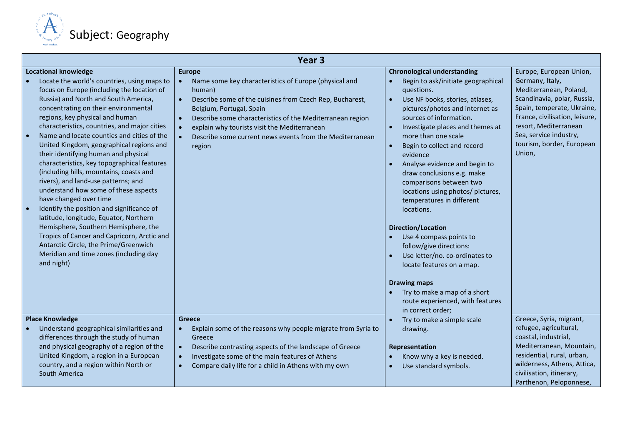

|                                                                                                                                                                                                                                                                                                                                                                                                                                                                                                                                                                                                                                                                                                                                                                                                                                                                                                                 | Year <sub>3</sub>                                                                                                                                                                                                                                                                                                                                                                                               |                                                                                                                                                                                                                                                                                                                                                                                                                                                                                                                                                                                                                                                                                                                                                                     |                                                                                                                                                                                                                                                               |  |
|-----------------------------------------------------------------------------------------------------------------------------------------------------------------------------------------------------------------------------------------------------------------------------------------------------------------------------------------------------------------------------------------------------------------------------------------------------------------------------------------------------------------------------------------------------------------------------------------------------------------------------------------------------------------------------------------------------------------------------------------------------------------------------------------------------------------------------------------------------------------------------------------------------------------|-----------------------------------------------------------------------------------------------------------------------------------------------------------------------------------------------------------------------------------------------------------------------------------------------------------------------------------------------------------------------------------------------------------------|---------------------------------------------------------------------------------------------------------------------------------------------------------------------------------------------------------------------------------------------------------------------------------------------------------------------------------------------------------------------------------------------------------------------------------------------------------------------------------------------------------------------------------------------------------------------------------------------------------------------------------------------------------------------------------------------------------------------------------------------------------------------|---------------------------------------------------------------------------------------------------------------------------------------------------------------------------------------------------------------------------------------------------------------|--|
| <b>Locational knowledge</b><br>Locate the world's countries, using maps to<br>focus on Europe (including the location of<br>Russia) and North and South America,<br>concentrating on their environmental<br>regions, key physical and human<br>characteristics, countries, and major cities<br>Name and locate counties and cities of the<br>United Kingdom, geographical regions and<br>their identifying human and physical<br>characteristics, key topographical features<br>(including hills, mountains, coasts and<br>rivers), and land-use patterns; and<br>understand how some of these aspects<br>have changed over time<br>Identify the position and significance of<br>latitude, longitude, Equator, Northern<br>Hemisphere, Southern Hemisphere, the<br>Tropics of Cancer and Capricorn, Arctic and<br>Antarctic Circle, the Prime/Greenwich<br>Meridian and time zones (including day<br>and night) | <b>Europe</b><br>Name some key characteristics of Europe (physical and<br>$\bullet$<br>human)<br>Describe some of the cuisines from Czech Rep, Bucharest,<br>$\bullet$<br>Belgium, Portugal, Spain<br>Describe some characteristics of the Mediterranean region<br>$\bullet$<br>explain why tourists visit the Mediterranean<br>$\bullet$<br>Describe some current news events from the Mediterranean<br>region | <b>Chronological understanding</b><br>Begin to ask/initiate geographical<br>questions.<br>Use NF books, stories, atlases,<br>$\bullet$<br>pictures/photos and internet as<br>sources of information.<br>Investigate places and themes at<br>more than one scale<br>Begin to collect and record<br>evidence<br>Analyse evidence and begin to<br>draw conclusions e.g. make<br>comparisons between two<br>locations using photos/ pictures,<br>temperatures in different<br>locations.<br><b>Direction/Location</b><br>Use 4 compass points to<br>follow/give directions:<br>Use letter/no. co-ordinates to<br>$\bullet$<br>locate features on a map.<br><b>Drawing maps</b><br>Try to make a map of a short<br>route experienced, with features<br>in correct order; | Europe, European Union,<br>Germany, Italy,<br>Mediterranean, Poland,<br>Scandinavia, polar, Russia,<br>Spain, temperate, Ukraine,<br>France, civilisation, leisure,<br>resort, Mediterranean<br>Sea, service industry,<br>tourism, border, European<br>Union, |  |
| <b>Place Knowledge</b><br>Understand geographical similarities and<br>differences through the study of human<br>and physical geography of a region of the<br>United Kingdom, a region in a European<br>country, and a region within North or<br>South America                                                                                                                                                                                                                                                                                                                                                                                                                                                                                                                                                                                                                                                   | <b>Greece</b><br>Explain some of the reasons why people migrate from Syria to<br>$\bullet$<br>Greece<br>Describe contrasting aspects of the landscape of Greece<br>$\bullet$<br>Investigate some of the main features of Athens<br>$\bullet$<br>Compare daily life for a child in Athens with my own<br>$\bullet$                                                                                               | Try to make a simple scale<br>drawing.<br>Representation<br>Know why a key is needed.<br>Use standard symbols.<br>$\bullet$                                                                                                                                                                                                                                                                                                                                                                                                                                                                                                                                                                                                                                         | Greece, Syria, migrant,<br>refugee, agricultural,<br>coastal, industrial,<br>Mediterranean, Mountain,<br>residential, rural, urban,<br>wilderness, Athens, Attica,<br>civilisation, itinerary,<br>Parthenon, Peloponnese,                                     |  |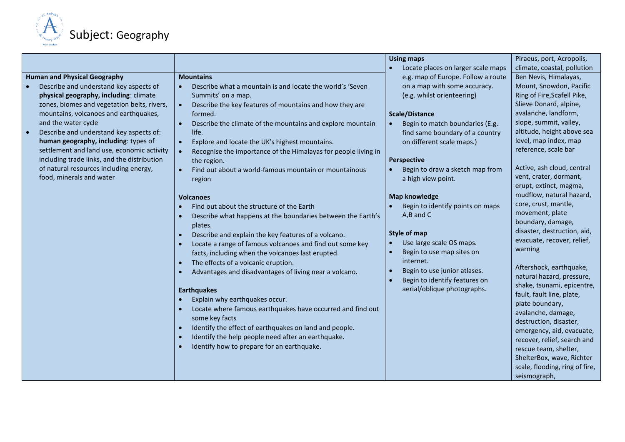

|                                             |                                                                  | <b>Using maps</b>                  | Piraeus, port, Acropolis,      |
|---------------------------------------------|------------------------------------------------------------------|------------------------------------|--------------------------------|
|                                             |                                                                  | Locate places on larger scale maps | climate, coastal, pollution    |
| <b>Human and Physical Geography</b>         | <b>Mountains</b>                                                 | e.g. map of Europe. Follow a route | Ben Nevis, Himalayas,          |
| Describe and understand key aspects of      | Describe what a mountain is and locate the world's 'Seven        | on a map with some accuracy.       | Mount, Snowdon, Pacific        |
| physical geography, including: climate      | Summits' on a map.                                               | (e.g. whilst orienteering)         | Ring of Fire, Scafell Pike,    |
| zones, biomes and vegetation belts, rivers, | Describe the key features of mountains and how they are          |                                    | Slieve Donard, alpine,         |
| mountains, volcanoes and earthquakes,       | formed.                                                          | <b>Scale/Distance</b>              | avalanche, landform,           |
| and the water cycle                         | Describe the climate of the mountains and explore mountain       | Begin to match boundaries (E.g.    | slope, summit, valley,         |
| Describe and understand key aspects of:     | life.                                                            | find same boundary of a country    | altitude, height above sea     |
| human geography, including: types of        | Explore and locate the UK's highest mountains.<br>$\bullet$      | on different scale maps.)          | level, map index, map          |
| settlement and land use, economic activity  | Recognise the importance of the Himalayas for people living in   |                                    | reference, scale bar           |
| including trade links, and the distribution | the region.                                                      | <b>Perspective</b>                 |                                |
| of natural resources including energy,      | Find out about a world-famous mountain or mountainous            | Begin to draw a sketch map from    | Active, ash cloud, central     |
| food, minerals and water                    | region                                                           | a high view point.                 | vent, crater, dormant,         |
|                                             |                                                                  |                                    | erupt, extinct, magma,         |
|                                             | <b>Volcanoes</b>                                                 | <b>Map knowledge</b>               | mudflow, natural hazard,       |
|                                             | Find out about the structure of the Earth                        | Begin to identify points on maps   | core, crust, mantle,           |
|                                             | Describe what happens at the boundaries between the Earth's      | A,B and C                          | movement, plate                |
|                                             | plates.                                                          |                                    | boundary, damage,              |
|                                             | Describe and explain the key features of a volcano.<br>$\bullet$ | <b>Style of map</b>                | disaster, destruction, aid,    |
|                                             | Locate a range of famous volcanoes and find out some key         | Use large scale OS maps.           | evacuate, recover, relief,     |
|                                             | facts, including when the volcanoes last erupted.                | Begin to use map sites on          | warning                        |
|                                             | The effects of a volcanic eruption.<br>$\bullet$                 | internet.                          |                                |
|                                             |                                                                  | Begin to use junior atlases.       | Aftershock, earthquake,        |
|                                             | Advantages and disadvantages of living near a volcano.           | Begin to identify features on      | natural hazard, pressure,      |
|                                             |                                                                  | aerial/oblique photographs.        | shake, tsunami, epicentre,     |
|                                             | <b>Earthquakes</b>                                               |                                    | fault, fault line, plate,      |
|                                             | Explain why earthquakes occur.                                   |                                    | plate boundary,                |
|                                             | Locate where famous earthquakes have occurred and find out       |                                    | avalanche, damage,             |
|                                             | some key facts                                                   |                                    | destruction, disaster,         |
|                                             | Identify the effect of earthquakes on land and people.           |                                    | emergency, aid, evacuate,      |
|                                             | Identify the help people need after an earthquake.<br>$\bullet$  |                                    | recover, relief, search and    |
|                                             | Identify how to prepare for an earthquake.                       |                                    | rescue team, shelter,          |
|                                             |                                                                  |                                    | ShelterBox, wave, Richter      |
|                                             |                                                                  |                                    | scale, flooding, ring of fire, |
|                                             |                                                                  |                                    | seismograph,                   |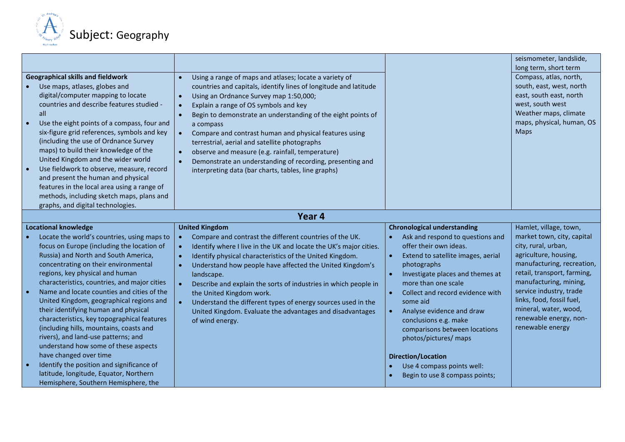

|                                                                                                                                                                                                                                                                                                                                                                                                                                                                                                                                                                                                                                                                                                                                                                 |                                                                                                                                                                                                                                                                                                                                                                                                                                                                                                                                                                                                                                                                          |                                                                                                                                                                                                                                                                                                                                                                                                                                                                                            | seismometer, landslide,<br>long term, short term                                                                                                                                                                                                                                                                           |
|-----------------------------------------------------------------------------------------------------------------------------------------------------------------------------------------------------------------------------------------------------------------------------------------------------------------------------------------------------------------------------------------------------------------------------------------------------------------------------------------------------------------------------------------------------------------------------------------------------------------------------------------------------------------------------------------------------------------------------------------------------------------|--------------------------------------------------------------------------------------------------------------------------------------------------------------------------------------------------------------------------------------------------------------------------------------------------------------------------------------------------------------------------------------------------------------------------------------------------------------------------------------------------------------------------------------------------------------------------------------------------------------------------------------------------------------------------|--------------------------------------------------------------------------------------------------------------------------------------------------------------------------------------------------------------------------------------------------------------------------------------------------------------------------------------------------------------------------------------------------------------------------------------------------------------------------------------------|----------------------------------------------------------------------------------------------------------------------------------------------------------------------------------------------------------------------------------------------------------------------------------------------------------------------------|
| <b>Geographical skills and fieldwork</b><br>Use maps, atlases, globes and<br>digital/computer mapping to locate<br>countries and describe features studied -<br>all<br>Use the eight points of a compass, four and<br>$\bullet$<br>six-figure grid references, symbols and key<br>(including the use of Ordnance Survey<br>maps) to build their knowledge of the<br>United Kingdom and the wider world<br>Use fieldwork to observe, measure, record<br>and present the human and physical<br>features in the local area using a range of<br>methods, including sketch maps, plans and<br>graphs, and digital technologies.                                                                                                                                      | $\bullet$<br>Using a range of maps and atlases; locate a variety of<br>countries and capitals, identify lines of longitude and latitude<br>Using an Ordnance Survey map 1:50,000;<br>$\bullet$<br>Explain a range of OS symbols and key<br>$\bullet$<br>Begin to demonstrate an understanding of the eight points of<br>$\bullet$<br>a compass<br>Compare and contrast human and physical features using<br>$\bullet$<br>terrestrial, aerial and satellite photographs<br>observe and measure (e.g. rainfall, temperature)<br>$\bullet$<br>Demonstrate an understanding of recording, presenting and<br>$\bullet$<br>interpreting data (bar charts, tables, line graphs) |                                                                                                                                                                                                                                                                                                                                                                                                                                                                                            | Compass, atlas, north,<br>south, east, west, north<br>east, south east, north<br>west, south west<br>Weather maps, climate<br>maps, physical, human, OS<br>Maps                                                                                                                                                            |
|                                                                                                                                                                                                                                                                                                                                                                                                                                                                                                                                                                                                                                                                                                                                                                 | Year 4                                                                                                                                                                                                                                                                                                                                                                                                                                                                                                                                                                                                                                                                   |                                                                                                                                                                                                                                                                                                                                                                                                                                                                                            |                                                                                                                                                                                                                                                                                                                            |
| <b>Locational knowledge</b><br>Locate the world's countries, using maps to<br>focus on Europe (including the location of<br>Russia) and North and South America,<br>concentrating on their environmental<br>regions, key physical and human<br>characteristics, countries, and major cities<br>Name and locate counties and cities of the<br>United Kingdom, geographical regions and<br>their identifying human and physical<br>characteristics, key topographical features<br>(including hills, mountains, coasts and<br>rivers), and land-use patterns; and<br>understand how some of these aspects<br>have changed over time<br>Identify the position and significance of<br>latitude, longitude, Equator, Northern<br>Hemisphere, Southern Hemisphere, the | <b>United Kingdom</b><br>Compare and contrast the different countries of the UK.<br>$\bullet$<br>Identify where I live in the UK and locate the UK's major cities.<br>$\bullet$<br>Identify physical characteristics of the United Kingdom.<br>$\bullet$<br>Understand how people have affected the United Kingdom's<br>$\bullet$<br>landscape.<br>Describe and explain the sorts of industries in which people in<br>$\bullet$<br>the United Kingdom work.<br>Understand the different types of energy sources used in the<br>$\bullet$<br>United Kingdom. Evaluate the advantages and disadvantages<br>of wind energy.                                                 | <b>Chronological understanding</b><br>Ask and respond to questions and<br>offer their own ideas.<br>$\bullet$<br>Extend to satellite images, aerial<br>photographs<br>Investigate places and themes at<br>more than one scale<br>Collect and record evidence with<br>some aid<br>Analyse evidence and draw<br>conclusions e.g. make<br>comparisons between locations<br>photos/pictures/ maps<br><b>Direction/Location</b><br>Use 4 compass points well:<br>Begin to use 8 compass points; | Hamlet, village, town,<br>market town, city, capital<br>city, rural, urban,<br>agriculture, housing,<br>manufacturing, recreation,<br>retail, transport, farming,<br>manufacturing, mining,<br>service industry, trade<br>links, food, fossil fuel,<br>mineral, water, wood,<br>renewable energy, non-<br>renewable energy |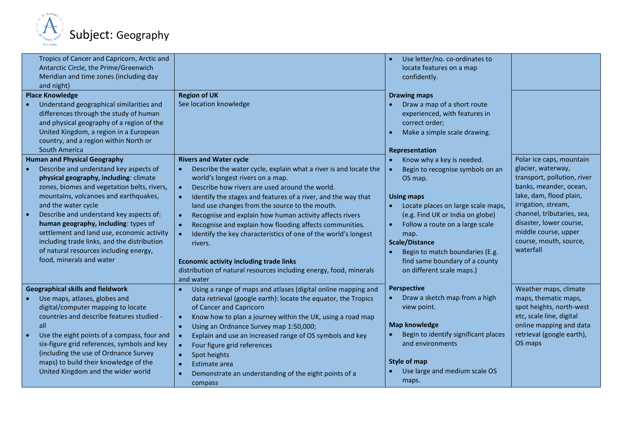

| Tropics of Cancer and Capricorn, Arctic and<br>Antarctic Circle, the Prime/Greenwich<br>Meridian and time zones (including day<br>and night)<br><b>Place Knowledge</b>                                                                                                                                                                                                                                                                                                                       | <b>Region of UK</b>                                                                                                                                                                                                                                                                                                                                                                                                                                                                                                                                                                                                                                                                                                              | Use letter/no. co-ordinates to<br>locate features on a map<br>confidently.<br><b>Drawing maps</b>                                                                                                                                                                                                                                             |                                                                                                                                                                                                                                                                                   |
|----------------------------------------------------------------------------------------------------------------------------------------------------------------------------------------------------------------------------------------------------------------------------------------------------------------------------------------------------------------------------------------------------------------------------------------------------------------------------------------------|----------------------------------------------------------------------------------------------------------------------------------------------------------------------------------------------------------------------------------------------------------------------------------------------------------------------------------------------------------------------------------------------------------------------------------------------------------------------------------------------------------------------------------------------------------------------------------------------------------------------------------------------------------------------------------------------------------------------------------|-----------------------------------------------------------------------------------------------------------------------------------------------------------------------------------------------------------------------------------------------------------------------------------------------------------------------------------------------|-----------------------------------------------------------------------------------------------------------------------------------------------------------------------------------------------------------------------------------------------------------------------------------|
| Understand geographical similarities and<br>differences through the study of human<br>and physical geography of a region of the<br>United Kingdom, a region in a European<br>country, and a region within North or<br>South America                                                                                                                                                                                                                                                          | See location knowledge                                                                                                                                                                                                                                                                                                                                                                                                                                                                                                                                                                                                                                                                                                           | Draw a map of a short route<br>experienced, with features in<br>correct order;<br>Make a simple scale drawing.<br>Representation                                                                                                                                                                                                              |                                                                                                                                                                                                                                                                                   |
| <b>Human and Physical Geography</b><br>Describe and understand key aspects of<br>physical geography, including: climate<br>zones, biomes and vegetation belts, rivers,<br>mountains, volcanoes and earthquakes,<br>and the water cycle<br>Describe and understand key aspects of:<br>human geography, including: types of<br>settlement and land use, economic activity<br>including trade links, and the distribution<br>of natural resources including energy,<br>food, minerals and water | <b>Rivers and Water cycle</b><br>Describe the water cycle, explain what a river is and locate the<br>$\bullet$<br>world's longest rivers on a map.<br>Describe how rivers are used around the world.<br>$\bullet$<br>Identify the stages and features of a river, and the way that<br>$\bullet$<br>land use changes from the source to the mouth.<br>Recognise and explain how human activity affects rivers<br>$\bullet$<br>Recognise and explain how flooding affects communities.<br>$\bullet$<br>Identify the key characteristics of one of the world's longest<br>$\bullet$<br>rivers.<br><b>Economic activity including trade links</b><br>distribution of natural resources including energy, food, minerals<br>and water | Know why a key is needed.<br>Begin to recognise symbols on an<br>OS map.<br><b>Using maps</b><br>Locate places on large scale maps,<br>(e.g. Find UK or India on globe)<br>Follow a route on a large scale<br>map.<br><b>Scale/Distance</b><br>Begin to match boundaries (E.g.<br>find same boundary of a county<br>on different scale maps.) | Polar ice caps, mountain<br>glacier, waterway,<br>transport, pollution, river<br>banks, meander, ocean,<br>lake, dam, flood plain,<br>irrigation, stream,<br>channel, tributaries, sea,<br>disaster, lower course,<br>middle course, upper<br>course, mouth, source,<br>waterfall |
| <b>Geographical skills and fieldwork</b><br>Use maps, atlases, globes and<br>digital/computer mapping to locate<br>countries and describe features studied -<br>all<br>Use the eight points of a compass, four and<br>six-figure grid references, symbols and key<br>(including the use of Ordnance Survey<br>maps) to build their knowledge of the<br>United Kingdom and the wider world                                                                                                    | Using a range of maps and atlases (digital online mapping and<br>data retrieval (google earth): locate the equator, the Tropics<br>of Cancer and Capricorn<br>Know how to plan a journey within the UK, using a road map<br>$\bullet$<br>Using an Ordnance Survey map 1:50,000;<br>$\bullet$<br>Explain and use an increased range of OS symbols and key<br>$\bullet$<br>Four figure grid references<br>$\bullet$<br>Spot heights<br>$\bullet$<br>Estimate area<br>$\bullet$<br>Demonstrate an understanding of the eight points of a<br>$\bullet$<br>compass                                                                                                                                                                    | <b>Perspective</b><br>Draw a sketch map from a high<br>view point.<br><b>Map knowledge</b><br>Begin to identify significant places<br>and environments<br>Style of map<br>Use large and medium scale OS<br>maps.                                                                                                                              | Weather maps, climate<br>maps, thematic maps,<br>spot heights, north-west<br>etc, scale line, digital<br>online mapping and data<br>retrieval (google earth),<br>OS maps                                                                                                          |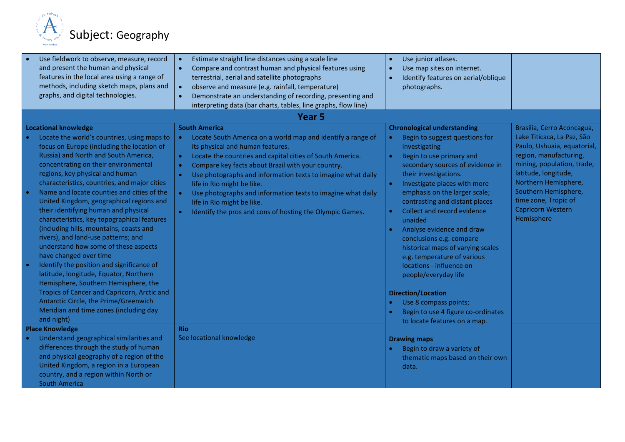

| Use fieldwork to observe, measure, record                                                                                                                                                                                                                                                                                                                                                                                                                                                                                                                                                                                                                                                                                                                                                                                                                          | Estimate straight line distances using a scale line<br>$\bullet$                                                                                                                                                                                                                                                                                                                                                                                                                                                                                      | Use junior atlases.                                                                                                                                                                                                                                                                                                                                                                                                                                                                                                                                                                          |                                                                                                                                                                                                                                                             |
|--------------------------------------------------------------------------------------------------------------------------------------------------------------------------------------------------------------------------------------------------------------------------------------------------------------------------------------------------------------------------------------------------------------------------------------------------------------------------------------------------------------------------------------------------------------------------------------------------------------------------------------------------------------------------------------------------------------------------------------------------------------------------------------------------------------------------------------------------------------------|-------------------------------------------------------------------------------------------------------------------------------------------------------------------------------------------------------------------------------------------------------------------------------------------------------------------------------------------------------------------------------------------------------------------------------------------------------------------------------------------------------------------------------------------------------|----------------------------------------------------------------------------------------------------------------------------------------------------------------------------------------------------------------------------------------------------------------------------------------------------------------------------------------------------------------------------------------------------------------------------------------------------------------------------------------------------------------------------------------------------------------------------------------------|-------------------------------------------------------------------------------------------------------------------------------------------------------------------------------------------------------------------------------------------------------------|
| and present the human and physical                                                                                                                                                                                                                                                                                                                                                                                                                                                                                                                                                                                                                                                                                                                                                                                                                                 | Compare and contrast human and physical features using<br>$\bullet$                                                                                                                                                                                                                                                                                                                                                                                                                                                                                   | Use map sites on internet.                                                                                                                                                                                                                                                                                                                                                                                                                                                                                                                                                                   |                                                                                                                                                                                                                                                             |
| features in the local area using a range of                                                                                                                                                                                                                                                                                                                                                                                                                                                                                                                                                                                                                                                                                                                                                                                                                        | terrestrial, aerial and satellite photographs                                                                                                                                                                                                                                                                                                                                                                                                                                                                                                         | Identify features on aerial/oblique                                                                                                                                                                                                                                                                                                                                                                                                                                                                                                                                                          |                                                                                                                                                                                                                                                             |
| methods, including sketch maps, plans and                                                                                                                                                                                                                                                                                                                                                                                                                                                                                                                                                                                                                                                                                                                                                                                                                          | observe and measure (e.g. rainfall, temperature)<br>$\bullet$                                                                                                                                                                                                                                                                                                                                                                                                                                                                                         | photographs.                                                                                                                                                                                                                                                                                                                                                                                                                                                                                                                                                                                 |                                                                                                                                                                                                                                                             |
| graphs, and digital technologies.                                                                                                                                                                                                                                                                                                                                                                                                                                                                                                                                                                                                                                                                                                                                                                                                                                  | Demonstrate an understanding of recording, presenting and<br>$\bullet$                                                                                                                                                                                                                                                                                                                                                                                                                                                                                |                                                                                                                                                                                                                                                                                                                                                                                                                                                                                                                                                                                              |                                                                                                                                                                                                                                                             |
|                                                                                                                                                                                                                                                                                                                                                                                                                                                                                                                                                                                                                                                                                                                                                                                                                                                                    | interpreting data (bar charts, tables, line graphs, flow line)                                                                                                                                                                                                                                                                                                                                                                                                                                                                                        |                                                                                                                                                                                                                                                                                                                                                                                                                                                                                                                                                                                              |                                                                                                                                                                                                                                                             |
|                                                                                                                                                                                                                                                                                                                                                                                                                                                                                                                                                                                                                                                                                                                                                                                                                                                                    | Year 5                                                                                                                                                                                                                                                                                                                                                                                                                                                                                                                                                |                                                                                                                                                                                                                                                                                                                                                                                                                                                                                                                                                                                              |                                                                                                                                                                                                                                                             |
| <b>Locational knowledge</b>                                                                                                                                                                                                                                                                                                                                                                                                                                                                                                                                                                                                                                                                                                                                                                                                                                        | <b>South America</b>                                                                                                                                                                                                                                                                                                                                                                                                                                                                                                                                  | <b>Chronological understanding</b>                                                                                                                                                                                                                                                                                                                                                                                                                                                                                                                                                           | Brasilia, Cerro Aconcagua,                                                                                                                                                                                                                                  |
| Locate the world's countries, using maps to<br>focus on Europe (including the location of<br>Russia) and North and South America,<br>concentrating on their environmental<br>regions, key physical and human<br>characteristics, countries, and major cities<br>Name and locate counties and cities of the<br>United Kingdom, geographical regions and<br>their identifying human and physical<br>characteristics, key topographical features<br>(including hills, mountains, coasts and<br>rivers), and land-use patterns; and<br>understand how some of these aspects<br>have changed over time<br>Identify the position and significance of<br>latitude, longitude, Equator, Northern<br>Hemisphere, Southern Hemisphere, the<br>Tropics of Cancer and Capricorn, Arctic and<br>Antarctic Circle, the Prime/Greenwich<br>Meridian and time zones (including day | Locate South America on a world map and identify a range of<br>$\bullet$<br>its physical and human features.<br>Locate the countries and capital cities of South America.<br>$\bullet$<br>Compare key facts about Brazil with your country.<br>$\bullet$<br>Use photographs and information texts to imagine what daily<br>$\bullet$<br>life in Rio might be like.<br>$\bullet$<br>Use photographs and information texts to imagine what daily<br>life in Rio might be like.<br>Identify the pros and cons of hosting the Olympic Games.<br>$\bullet$ | Begin to suggest questions for<br>$\bullet$<br>investigating<br>Begin to use primary and<br>secondary sources of evidence in<br>their investigations.<br>Investigate places with more<br>emphasis on the larger scale;<br>contrasting and distant places<br>Collect and record evidence<br>unaided<br>Analyse evidence and draw<br>conclusions e.g. compare<br>historical maps of varying scales<br>e.g. temperature of various<br>locations - influence on<br>people/everyday life<br><b>Direction/Location</b><br>Use 8 compass points;<br>$\bullet$<br>Begin to use 4 figure co-ordinates | Lake Titicaca, La Paz, São<br>Paulo, Ushuaia, equatorial,<br>region, manufacturing,<br>mining, population, trade,<br>latitude, longitude,<br>Northern Hemisphere,<br>Southern Hemisphere,<br>time zone, Tropic of<br><b>Capricorn Western</b><br>Hemisphere |
| and night)                                                                                                                                                                                                                                                                                                                                                                                                                                                                                                                                                                                                                                                                                                                                                                                                                                                         |                                                                                                                                                                                                                                                                                                                                                                                                                                                                                                                                                       | to locate features on a map.                                                                                                                                                                                                                                                                                                                                                                                                                                                                                                                                                                 |                                                                                                                                                                                                                                                             |
| <b>Place Knowledge</b>                                                                                                                                                                                                                                                                                                                                                                                                                                                                                                                                                                                                                                                                                                                                                                                                                                             | <b>Rio</b><br>See locational knowledge                                                                                                                                                                                                                                                                                                                                                                                                                                                                                                                |                                                                                                                                                                                                                                                                                                                                                                                                                                                                                                                                                                                              |                                                                                                                                                                                                                                                             |
| Understand geographical similarities and<br>differences through the study of human                                                                                                                                                                                                                                                                                                                                                                                                                                                                                                                                                                                                                                                                                                                                                                                 |                                                                                                                                                                                                                                                                                                                                                                                                                                                                                                                                                       | <b>Drawing maps</b>                                                                                                                                                                                                                                                                                                                                                                                                                                                                                                                                                                          |                                                                                                                                                                                                                                                             |
|                                                                                                                                                                                                                                                                                                                                                                                                                                                                                                                                                                                                                                                                                                                                                                                                                                                                    |                                                                                                                                                                                                                                                                                                                                                                                                                                                                                                                                                       | Begin to draw a variety of                                                                                                                                                                                                                                                                                                                                                                                                                                                                                                                                                                   |                                                                                                                                                                                                                                                             |
| and physical geography of a region of the                                                                                                                                                                                                                                                                                                                                                                                                                                                                                                                                                                                                                                                                                                                                                                                                                          |                                                                                                                                                                                                                                                                                                                                                                                                                                                                                                                                                       | thematic maps based on their own                                                                                                                                                                                                                                                                                                                                                                                                                                                                                                                                                             |                                                                                                                                                                                                                                                             |
| United Kingdom, a region in a European                                                                                                                                                                                                                                                                                                                                                                                                                                                                                                                                                                                                                                                                                                                                                                                                                             |                                                                                                                                                                                                                                                                                                                                                                                                                                                                                                                                                       | data.                                                                                                                                                                                                                                                                                                                                                                                                                                                                                                                                                                                        |                                                                                                                                                                                                                                                             |
| country, and a region within North or                                                                                                                                                                                                                                                                                                                                                                                                                                                                                                                                                                                                                                                                                                                                                                                                                              |                                                                                                                                                                                                                                                                                                                                                                                                                                                                                                                                                       |                                                                                                                                                                                                                                                                                                                                                                                                                                                                                                                                                                                              |                                                                                                                                                                                                                                                             |
| <b>South America</b>                                                                                                                                                                                                                                                                                                                                                                                                                                                                                                                                                                                                                                                                                                                                                                                                                                               |                                                                                                                                                                                                                                                                                                                                                                                                                                                                                                                                                       |                                                                                                                                                                                                                                                                                                                                                                                                                                                                                                                                                                                              |                                                                                                                                                                                                                                                             |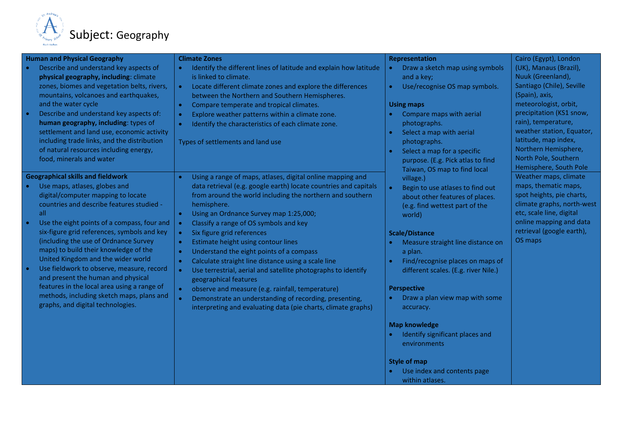

| <b>Human and Physical Geography</b>                                                      | <b>Climate Zones</b>                                                      | <b>Representation</b>                                                         | Cairo (Egypt), London                            |
|------------------------------------------------------------------------------------------|---------------------------------------------------------------------------|-------------------------------------------------------------------------------|--------------------------------------------------|
| Describe and understand key aspects of                                                   | Identify the different lines of latitude and explain how latitude         | Draw a sketch map using symbols<br>$\bullet$                                  | (UK), Manaus (Brazil),                           |
| physical geography, including: climate                                                   | is linked to climate.                                                     | and a key;                                                                    | Nuuk (Greenland),                                |
| zones, biomes and vegetation belts, rivers,                                              | Locate different climate zones and explore the differences<br>$\bullet$   | Use/recognise OS map symbols.<br>$\bullet$                                    | Santiago (Chile), Seville                        |
| mountains, volcanoes and earthquakes,                                                    | between the Northern and Southern Hemispheres.                            |                                                                               | (Spain), axis,                                   |
| and the water cycle                                                                      | Compare temperate and tropical climates.<br>$\bullet$                     | <b>Using maps</b>                                                             | meteorologist, orbit,                            |
| Describe and understand key aspects of:                                                  | Explore weather patterns within a climate zone.<br>$\bullet$              | Compare maps with aerial                                                      | precipitation (KS1 snow,                         |
| human geography, including: types of                                                     | Identify the characteristics of each climate zone.<br>$\bullet$           | photographs.                                                                  | rain), temperature,<br>weather station, Equator, |
| settlement and land use, economic activity                                               |                                                                           | Select a map with aerial                                                      | latitude, map index,                             |
| including trade links, and the distribution<br>of natural resources including energy,    | Types of settlements and land use                                         | photographs.                                                                  | Northern Hemisphere,                             |
| food, minerals and water                                                                 |                                                                           | Select a map for a specific<br>$\bullet$<br>purpose. (E.g. Pick atlas to find | North Pole, Southern                             |
|                                                                                          |                                                                           | Taiwan, OS map to find local                                                  | Hemisphere, South Pole                           |
| <b>Geographical skills and fieldwork</b>                                                 | Using a range of maps, atlases, digital online mapping and                | village.)                                                                     | Weather maps, climate                            |
| Use maps, atlases, globes and                                                            | data retrieval (e.g. google earth) locate countries and capitals          | Begin to use atlases to find out<br>$\bullet$                                 | maps, thematic maps,                             |
| digital/computer mapping to locate                                                       | from around the world including the northern and southern                 | about other features of places.                                               | spot heights, pie charts,                        |
| countries and describe features studied -                                                | hemisphere.                                                               | (e.g. find wettest part of the                                                | climate graphs, north-west                       |
| all                                                                                      | Using an Ordnance Survey map 1:25,000;<br>$\bullet$                       | world)                                                                        | etc, scale line, digital                         |
| Use the eight points of a compass, four and                                              | Classify a range of OS symbols and key                                    |                                                                               | online mapping and data                          |
| six-figure grid references, symbols and key                                              | Six figure grid references<br>$\bullet$                                   | <b>Scale/Distance</b>                                                         | retrieval (google earth),                        |
| (including the use of Ordnance Survey                                                    | Estimate height using contour lines<br>$\bullet$                          | Measure straight line distance on                                             | OS maps                                          |
| maps) to build their knowledge of the                                                    | Understand the eight points of a compass<br>$\bullet$                     | a plan.                                                                       |                                                  |
| United Kingdom and the wider world                                                       | Calculate straight line distance using a scale line<br>$\bullet$          | Find/recognise places on maps of                                              |                                                  |
| Use fieldwork to observe, measure, record                                                | Use terrestrial, aerial and satellite photographs to identify<br><b>C</b> | different scales. (E.g. river Nile.)                                          |                                                  |
| and present the human and physical                                                       | geographical features                                                     |                                                                               |                                                  |
| features in the local area using a range of<br>methods, including sketch maps, plans and | observe and measure (e.g. rainfall, temperature)                          | <b>Perspective</b>                                                            |                                                  |
| graphs, and digital technologies.                                                        | Demonstrate an understanding of recording, presenting,                    | Draw a plan view map with some<br>$\bullet$                                   |                                                  |
|                                                                                          | interpreting and evaluating data (pie charts, climate graphs)             | accuracy.                                                                     |                                                  |
|                                                                                          |                                                                           | <b>Map knowledge</b>                                                          |                                                  |
|                                                                                          |                                                                           | Identify significant places and                                               |                                                  |
|                                                                                          |                                                                           | environments                                                                  |                                                  |
|                                                                                          |                                                                           |                                                                               |                                                  |
|                                                                                          |                                                                           | <b>Style of map</b>                                                           |                                                  |
|                                                                                          |                                                                           | Use index and contents page                                                   |                                                  |
|                                                                                          |                                                                           | within atlases.                                                               |                                                  |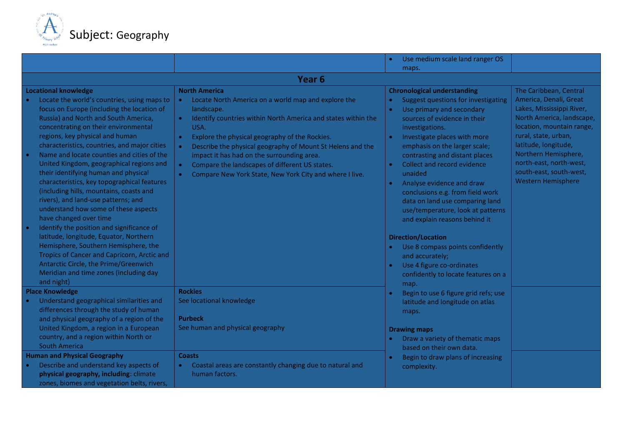

|                                                                                                                                                                                                                                                                                                                                                                                                                                                                                                                                                                                                                                                                                          |                                                                                                                                                                                                                                                                                                                                                                                                                                                                                                     |                        | Use medium scale land ranger OS                                                                                                                                                                                                                                                                                                                                                                                                                                                |                                                                                                                                                                                                                                                                          |
|------------------------------------------------------------------------------------------------------------------------------------------------------------------------------------------------------------------------------------------------------------------------------------------------------------------------------------------------------------------------------------------------------------------------------------------------------------------------------------------------------------------------------------------------------------------------------------------------------------------------------------------------------------------------------------------|-----------------------------------------------------------------------------------------------------------------------------------------------------------------------------------------------------------------------------------------------------------------------------------------------------------------------------------------------------------------------------------------------------------------------------------------------------------------------------------------------------|------------------------|--------------------------------------------------------------------------------------------------------------------------------------------------------------------------------------------------------------------------------------------------------------------------------------------------------------------------------------------------------------------------------------------------------------------------------------------------------------------------------|--------------------------------------------------------------------------------------------------------------------------------------------------------------------------------------------------------------------------------------------------------------------------|
|                                                                                                                                                                                                                                                                                                                                                                                                                                                                                                                                                                                                                                                                                          |                                                                                                                                                                                                                                                                                                                                                                                                                                                                                                     |                        | maps.                                                                                                                                                                                                                                                                                                                                                                                                                                                                          |                                                                                                                                                                                                                                                                          |
|                                                                                                                                                                                                                                                                                                                                                                                                                                                                                                                                                                                                                                                                                          | Year <sub>6</sub>                                                                                                                                                                                                                                                                                                                                                                                                                                                                                   |                        |                                                                                                                                                                                                                                                                                                                                                                                                                                                                                |                                                                                                                                                                                                                                                                          |
| <b>Locational knowledge</b>                                                                                                                                                                                                                                                                                                                                                                                                                                                                                                                                                                                                                                                              | <b>North America</b>                                                                                                                                                                                                                                                                                                                                                                                                                                                                                |                        | <b>Chronological understanding</b>                                                                                                                                                                                                                                                                                                                                                                                                                                             | The Caribbean, Central                                                                                                                                                                                                                                                   |
| Locate the world's countries, using maps to<br>focus on Europe (including the location of<br>Russia) and North and South America,<br>concentrating on their environmental<br>regions, key physical and human<br>characteristics, countries, and major cities<br>Name and locate counties and cities of the<br>United Kingdom, geographical regions and<br>their identifying human and physical<br>characteristics, key topographical features<br>(including hills, mountains, coasts and<br>rivers), and land-use patterns; and<br>understand how some of these aspects<br>have changed over time<br>Identify the position and significance of<br>latitude, longitude, Equator, Northern | Locate North America on a world map and explore the<br>$\bullet$<br>landscape.<br>Identify countries within North America and states within the<br>$\bullet$<br>USA.<br>Explore the physical geography of the Rockies.<br>$\bullet$<br>Describe the physical geography of Mount St Helens and the<br>$\bullet$<br>impact it has had on the surrounding area.<br>Compare the landscapes of different US states.<br>$\bullet$<br>Compare New York State, New York City and where I live.<br>$\bullet$ | $\bullet$<br>$\bullet$ | <b>Suggest questions for investigating</b><br>Use primary and secondary<br>sources of evidence in their<br>investigations.<br>Investigate places with more<br>emphasis on the larger scale;<br>contrasting and distant places<br>Collect and record evidence<br>unaided<br>Analyse evidence and draw<br>conclusions e.g. from field work<br>data on land use comparing land<br>use/temperature, look at patterns<br>and explain reasons behind it<br><b>Direction/Location</b> | America, Denali, Great<br>Lakes, Mississippi River,<br>North America, landscape,<br>location, mountain range,<br>rural, state, urban,<br>latitude, longitude,<br>Northern Hemisphere,<br>north-east, north-west,<br>south-east, south-west,<br><b>Western Hemisphere</b> |
| Hemisphere, Southern Hemisphere, the<br>Tropics of Cancer and Capricorn, Arctic and<br>Antarctic Circle, the Prime/Greenwich<br>Meridian and time zones (including day<br>and night)                                                                                                                                                                                                                                                                                                                                                                                                                                                                                                     |                                                                                                                                                                                                                                                                                                                                                                                                                                                                                                     |                        | Use 8 compass points confidently<br>and accurately;<br>Use 4 figure co-ordinates<br>confidently to locate features on a<br>map.                                                                                                                                                                                                                                                                                                                                                |                                                                                                                                                                                                                                                                          |
| <b>Place Knowledge</b>                                                                                                                                                                                                                                                                                                                                                                                                                                                                                                                                                                                                                                                                   | <b>Rockies</b>                                                                                                                                                                                                                                                                                                                                                                                                                                                                                      |                        | Begin to use 6 figure grid refs; use                                                                                                                                                                                                                                                                                                                                                                                                                                           |                                                                                                                                                                                                                                                                          |
| Understand geographical similarities and<br>differences through the study of human<br>and physical geography of a region of the                                                                                                                                                                                                                                                                                                                                                                                                                                                                                                                                                          | See locational knowledge<br><b>Purbeck</b>                                                                                                                                                                                                                                                                                                                                                                                                                                                          |                        | latitude and longitude on atlas<br>maps.                                                                                                                                                                                                                                                                                                                                                                                                                                       |                                                                                                                                                                                                                                                                          |
| United Kingdom, a region in a European<br>country, and a region within North or<br><b>South America</b>                                                                                                                                                                                                                                                                                                                                                                                                                                                                                                                                                                                  | See human and physical geography                                                                                                                                                                                                                                                                                                                                                                                                                                                                    |                        | <b>Drawing maps</b><br>Draw a variety of thematic maps<br>based on their own data.                                                                                                                                                                                                                                                                                                                                                                                             |                                                                                                                                                                                                                                                                          |
| <b>Human and Physical Geography</b>                                                                                                                                                                                                                                                                                                                                                                                                                                                                                                                                                                                                                                                      | <b>Coasts</b>                                                                                                                                                                                                                                                                                                                                                                                                                                                                                       |                        | Begin to draw plans of increasing                                                                                                                                                                                                                                                                                                                                                                                                                                              |                                                                                                                                                                                                                                                                          |
| Describe and understand key aspects of<br>physical geography, including: climate<br>zones, biomes and vegetation belts, rivers,                                                                                                                                                                                                                                                                                                                                                                                                                                                                                                                                                          | Coastal areas are constantly changing due to natural and<br>human factors.                                                                                                                                                                                                                                                                                                                                                                                                                          |                        | complexity.                                                                                                                                                                                                                                                                                                                                                                                                                                                                    |                                                                                                                                                                                                                                                                          |